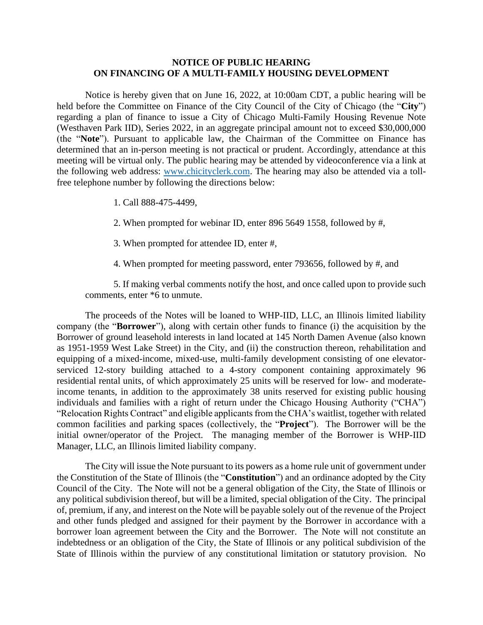## **NOTICE OF PUBLIC HEARING ON FINANCING OF A MULTI-FAMILY HOUSING DEVELOPMENT**

Notice is hereby given that on June 16, 2022, at 10:00am CDT, a public hearing will be held before the Committee on Finance of the City Council of the City of Chicago (the "**City**") regarding a plan of finance to issue a City of Chicago Multi-Family Housing Revenue Note (Westhaven Park IID), Series 2022, in an aggregate principal amount not to exceed \$30,000,000 (the "**Note**"). Pursuant to applicable law, the Chairman of the Committee on Finance has determined that an in-person meeting is not practical or prudent. Accordingly, attendance at this meeting will be virtual only. The public hearing may be attended by videoconference via a link at the following web address: [www.chicityclerk.com.](file://///dc07nas02-smb/law-cityhall/SHARED/Finance/CHA/Horner%20IID%20Westhaven%202D%20TIF%20Bonds%20TC/TEFRA/www.chicityclerk.com) The hearing may also be attended via a tollfree telephone number by following the directions below:

- 1. Call 888-475-4499,
- 2. When prompted for webinar ID, enter 896 5649 1558, followed by #,
- 3. When prompted for attendee ID, enter #,
- 4. When prompted for meeting password, enter 793656, followed by #, and

5. If making verbal comments notify the host, and once called upon to provide such comments, enter \*6 to unmute.

The proceeds of the Notes will be loaned to WHP-IID, LLC, an Illinois limited liability company (the "**Borrower**"), along with certain other funds to finance (i) the acquisition by the Borrower of ground leasehold interests in land located at 145 North Damen Avenue (also known as 1951-1959 West Lake Street) in the City, and (ii) the construction thereon, rehabilitation and equipping of a mixed-income, mixed-use, multi-family development consisting of one elevatorserviced 12-story building attached to a 4-story component containing approximately 96 residential rental units, of which approximately 25 units will be reserved for low- and moderateincome tenants, in addition to the approximately 38 units reserved for existing public housing individuals and families with a right of return under the Chicago Housing Authority ("CHA") "Relocation Rights Contract" and eligible applicants from the CHA's waitlist, together with related common facilities and parking spaces (collectively, the "**Project**"). The Borrower will be the initial owner/operator of the Project. The managing member of the Borrower is WHP-IID Manager, LLC, an Illinois limited liability company.

The City will issue the Note pursuant to its powers as a home rule unit of government under the Constitution of the State of Illinois (the "**Constitution**") and an ordinance adopted by the City Council of the City. The Note will not be a general obligation of the City, the State of Illinois or any political subdivision thereof, but will be a limited, special obligation of the City. The principal of, premium, if any, and interest on the Note will be payable solely out of the revenue of the Project and other funds pledged and assigned for their payment by the Borrower in accordance with a borrower loan agreement between the City and the Borrower. The Note will not constitute an indebtedness or an obligation of the City, the State of Illinois or any political subdivision of the State of Illinois within the purview of any constitutional limitation or statutory provision. No